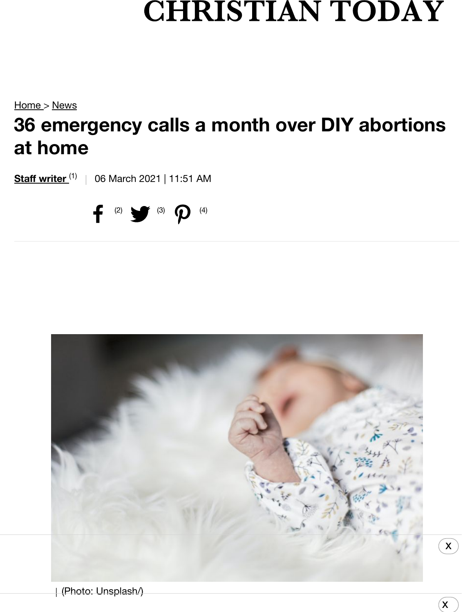## **CHRISTIAN TODAY**

Home > News **[36 e](https://christiantoday.com/)[me](https://christiantoday.com/article/36.emergency.calls.a.month.over.diy.abortions.at.home/news)rgency calls a month over DIY abortions at home**

**<u>Staff writer (1)</u>** | 06 March 2021 | 11:51 AM





 $\alpha$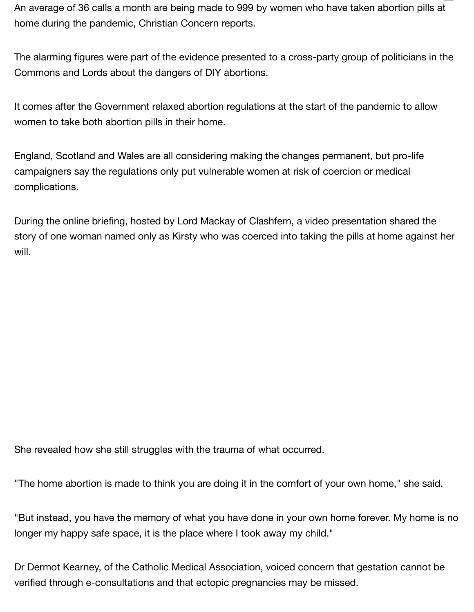An average of 36 calls a month are being made to 999 by women who have taken abortion pills at home during the pandemic, Christian Concern reports.

The alarming figures were part of the evidence presented to a cross-party group of politicians in the Commons and Lords about the dangers of DIY abortions.

It comes after the Government relaxed abortion regulations at the start of the pandemic to allow women to take both abortion pills in their home.

England, Scotland and Wales are all considering making the changes permanent, but pro-life campaigners say the regulations only put vulnerable women at risk of coercion or medical complications.

During the online briefing, hosted by Lord Mackay of Clashfern, a video presentation shared the story of one woman named only as Kirsty who was coerced into taking the pills at home against her will.

She revealed how she still struggles with the trauma of what occurred.

"The home abortion is made to think you are doing it in the comfort of your own home," she said.

"But instead, you have the memory of what you have done in your own home forever. My home is no longer my happy safe space, it is the place where I took away my child."

Dr Dermot Kearney, of the Catholic Medical Association, voiced concern that gestation cannot be verified through e-consultations and that ectopic pregnancies may be missed.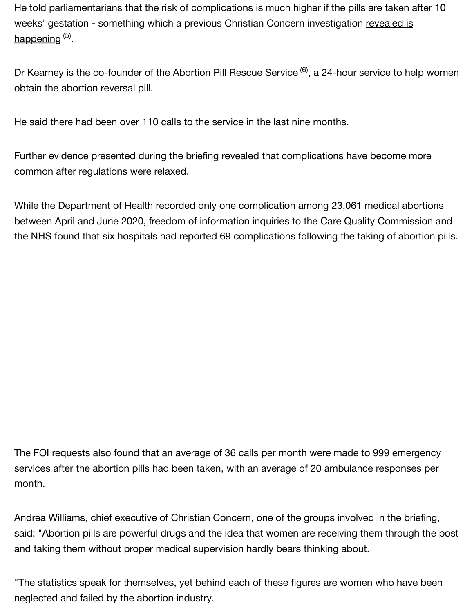He told parliamentarians that the risk of complications is much higher if the pills are taken after 10 weeks' gestation - something which a previous Christian Concern investigation revealed is happening <sup>(5)</sup>.

Dr Kearney is the co-founder of the Abortion Pill Rescue Service <sup>(6)</sup>, a 24-hour service to help women obtain the abortion reversal pill.

He said there had been over 110 calls to the service in the last nine months.

Further evidence presented during the briefing revealed that complications have become more common after regulations were relaxed.

While the Department of Health recorded only one complication among 23,061 medical abortions between April and June 2020, freedom of [information inquiries to the Care](https://christianconcern.us2.list-manage.com/track/click?u=bed173cc9adfcad1e0e442a35&id=efeabf2299&e=53695870c2) Quality Commission and the NHS found that six hospitals had reported 69 complications following the taking of abortion pills.

The FOI requests also found that an average of 36 calls per month were made to 999 emergency services after the abortion pills had been taken, with an average of 20 ambulance responses per month.

Andrea Williams, chief executive of Christian Concern, one of the groups involved in the briefing, said: "Abortion pills are powerful drugs and the idea that women are receiving them through the post and taking them without proper medical supervision hardly bears thinking about.

"The statistics speak for themselves, yet behind each of these figures are women who have been neglected and failed by the abortion industry.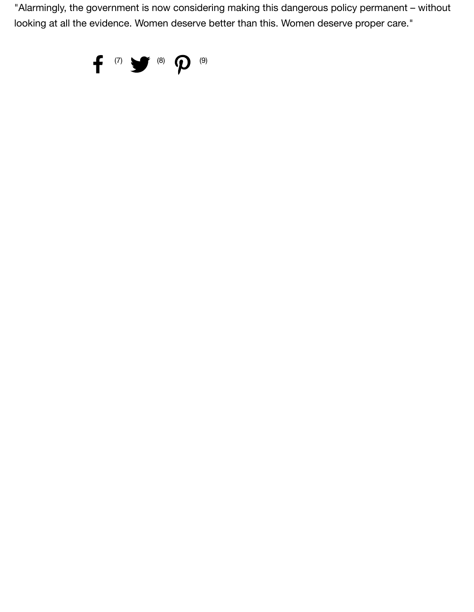"Alarmingly, the government is now considering making this dangerous policy permanent – without looking at all the evidence. Women deserve better than this. Women deserve proper care."

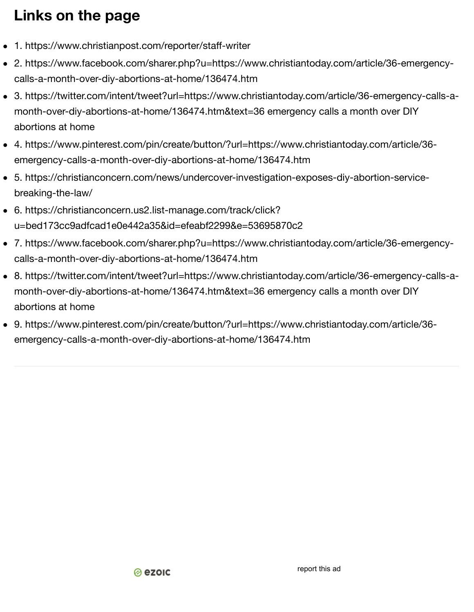## **Links on the page**

- 1. https://www.christianpost.com/reporter/staff-writer
- 2. https://www.facebook.com/sharer.php?u=https://www.christiantoday.com/article/36-emergencycalls-a-month-over-diy-abortions-at-home/136474.htm
- 3. https://twitter.com/intent/tweet?url=https://www.christiantoday.com/article/36-emergency-calls-amonth-over-diy-abortions-at-home/136474.htm&text=36 emergency calls a month over DIY abortions at home
- 4. https://www.pinterest.com/pi[n/create/b](https://www.ezoic.com/what-is-ezoic/)utton/?url=https://www.christiantoday.com/article/36 emergency-calls-a-month-over-diy-abortions-at-home/136474.htm
- 5. https://christianconcern.com/news/undercover-investigation-exposes-diy-abortion-servicebreaki[ng-the-law/](https://www.christiantoday.com/article/heartache.after.25.year.old.prayer.leader.and.husband.die.in.hiking.accident/136471.htm)
- 6. https://christianconcern.us2.list-manage.com/track/click? u=bed173cc9adfcad1e0e442a35&id=efeabf2299&e=53695870c2
- 7. https://www.facebook.com/sharer.php?u=https://www.christiantoday.com/article/36-emergencycalls-a[-month-over-diy-abortions-at-home/136474.htm](https://www.christiantoday.com/article/judge.rejects.charge.against.christian.baker.jack.phillips.over.trans.cake/136475.htm)
- 8. https://twitter.com/intent/tweet?url=https://www.christiantoday.com/article/36[-emergency-calls-](https://www.christiantoday.com/article/judge.rejects.charge.against.christian.baker.jack.phillips.over.trans.cake/136475.htm)amonth-over-diy-abortions-at-home/136474.htm&text=36 emergency calls a month over DIY abortions at home
- 9. http[s://www.pinterest.com/pin/create/button/?url=h](https://www.christiantoday.com/article/pope.calls.for.peace.in.historic.visit.to.iraq/136470.htm)ttps://www.christiantoday.[com/article/36](https://www.christiantoday.com/article/pope.calls.for.peace.in.historic.visit.to.iraq/136470.htm) emergency-calls-a-month-over-diy-abortions-at-home/136474.htm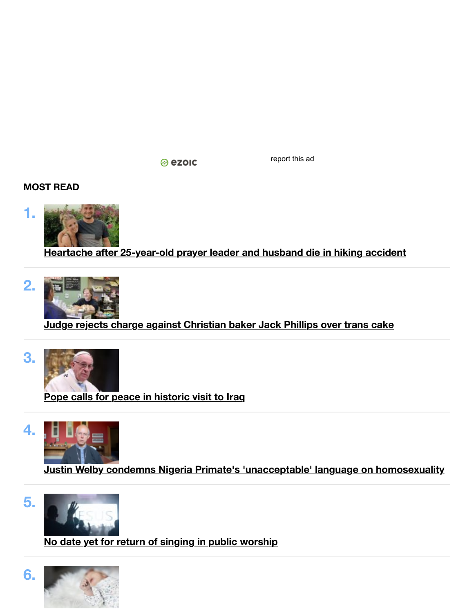⊗ ezoic

[report this ad](https://www.christiantoday.com/article/harry.and.meghan.say.they.were.wed.in.secret.by.archbishop.of.canterbury.3.days.before.wedding/136478.htm)

**MOST [READ](https://www.christiantoday.com/article/welcome.to.mozambique.where.women.really.are.fixing.each.others.crowns/136463.htm)**



**Heartache after 25-year-old prayer leader and husband die in hiking acci[dent](https://www.christiantoday.com/article/what.if.suffering.is.gods.secret.weapon/136476.htm)**



**Judge rejects charge against Christian baker Jack Phillips over trans cak[e](https://www.christiantoday.com/article/syrian.women.have.suffered.worst.during.a.decade.of.war.now.they.want.to.be.heard/136462.htm)**



**Pope calls for peace in historic visit to Iraq**



**Justin Welby condemns Nigeria Primate's 'unacceptable' language on homosexuality**



**No date yet for return of singing in public worship**

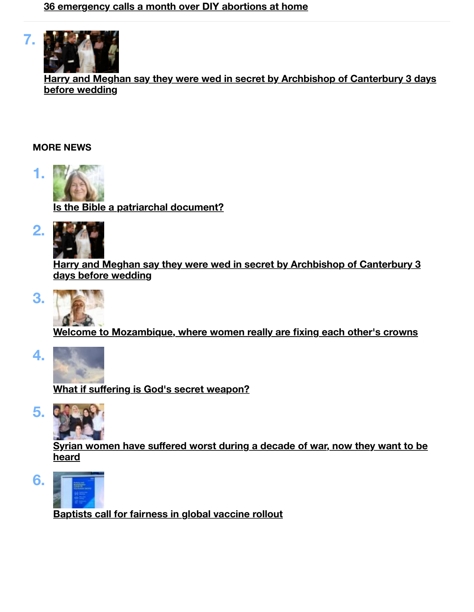

**Harry and Meghan say they were wed in secret by Archbishop of Canterbury 3 days before wedding**

## **MORE NEWS**



**[Is the Bible a patriarchal document?](https://christiantoday.com/)**



**[Harry and Meghan say they were wed](https://christiantoday.com/church) in [secret by Archbishop of Canterbury 3](https://christiantoday.com/job-listing) [days before wedding](https://christiantoday.com/culture)**



**[Welcome to Mozambique, where wom](https://christiantoday.com/video)en [really are fixing each other](https://christiantoday.com/privacy-policy)['](https://christiantoday.com/term)[s crowns](https://christiantoday.com/privacy-policy)**



**What if suffering is God's secret weapon?**



**Syrian women have suffered worst during a decade of war, now they want to be heard**



**Baptists call for fairness in global vaccine rollout**